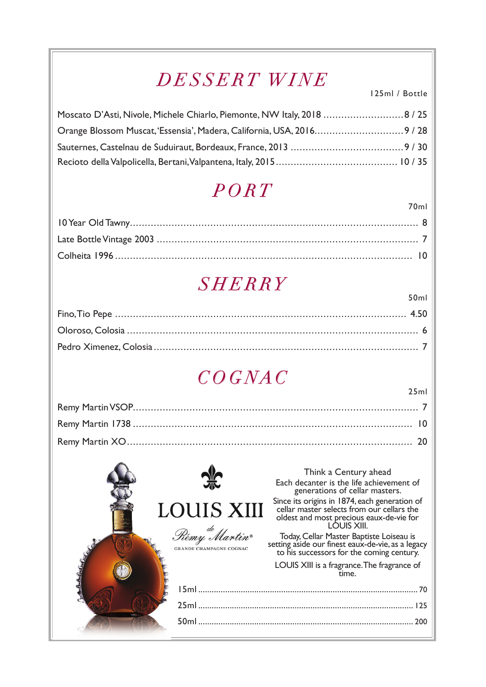# *DESSERT WINE*

125ml / Bottle

70ml

50ml

25ml

| Moscato D'Asti, Nivole, Michele Chiarlo, Piemonte, NW Italy, 2018 8 / 25 |  |
|--------------------------------------------------------------------------|--|
| Orange Blossom Muscat, 'Essensia', Madera, California, USA, 20169 / 28   |  |
|                                                                          |  |
|                                                                          |  |

# *PORT*

# *SHERRY*

# *COGNAC*

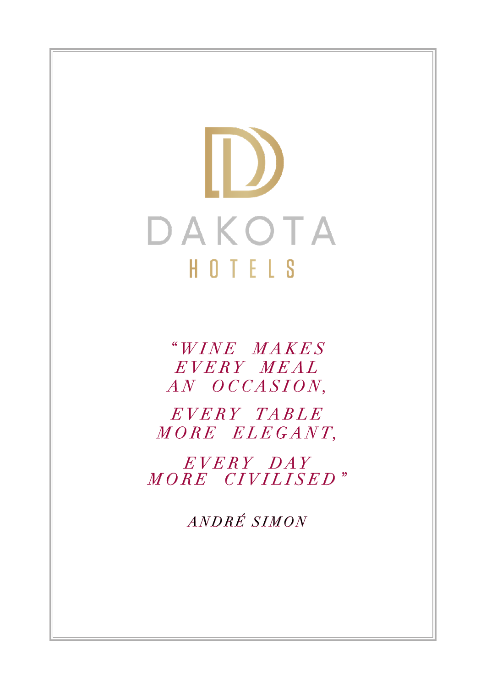$\bf D$ DAKOTA HOTELS

> *" W I N E M A K E S*   $E VERY$   $MEAL$ *A N O C C A S I O N ,*

*E V E R Y T A B L E*   $MORE$   $ELE GANT$ ,

 $E VERY$   $DATAY$ *MORE CIVILISED"*

*ANDRÉ SIMON*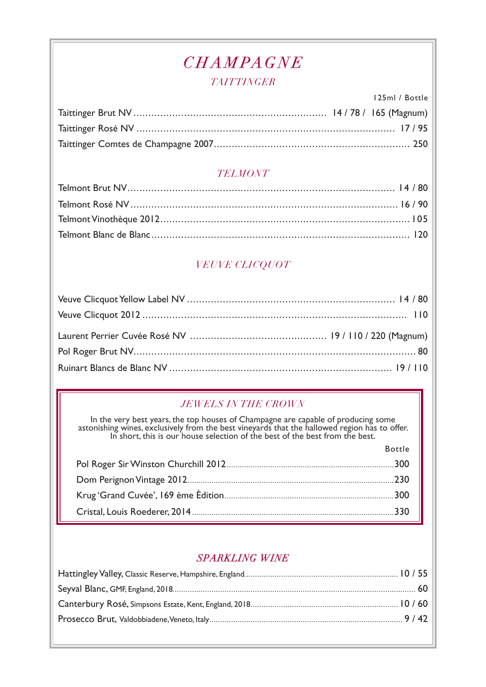### *CHAMPAGNE*

#### *TAITTINGER*

125ml / Bottle Taittinger Brut NV ................................................................. 14 / 78 / 165 (Magnum) Taittinger Rosé NV ....................................................................................... 17 / 95 Taittinger Comtes de Champagne 2007.................................................................. 250

#### *TELMONT*

### *VEUVE CLICQUOT*

### *JEWELS IN THE CROWN*

In the very best years, the top houses of Champagne are capable of producing some astonishing wines, exclusively from the best vineyards that the hallowed region has to offer.<br>In short, this is our house selection of the b

 $P_{\alpha+1}$ 

| <b>DULLE</b> |
|--------------|
|              |
|              |
|              |
|              |

#### *SPARKLING WINE*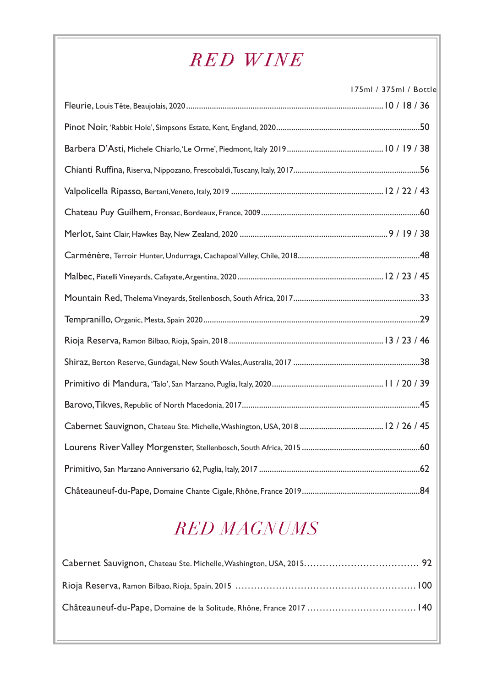# *RED WINE*

175ml / 375ml / Bottle

| Valpolicella Ripasso, Bertani, Veneto, Italy, 2019 …………………………………………………………………………… 12 / 22 / 43 |  |
|-----------------------------------------------------------------------------------------------|--|
|                                                                                               |  |
|                                                                                               |  |
|                                                                                               |  |
|                                                                                               |  |
|                                                                                               |  |
|                                                                                               |  |
|                                                                                               |  |
|                                                                                               |  |
|                                                                                               |  |
|                                                                                               |  |
|                                                                                               |  |
|                                                                                               |  |
|                                                                                               |  |
|                                                                                               |  |

# *RED MAGNUMS*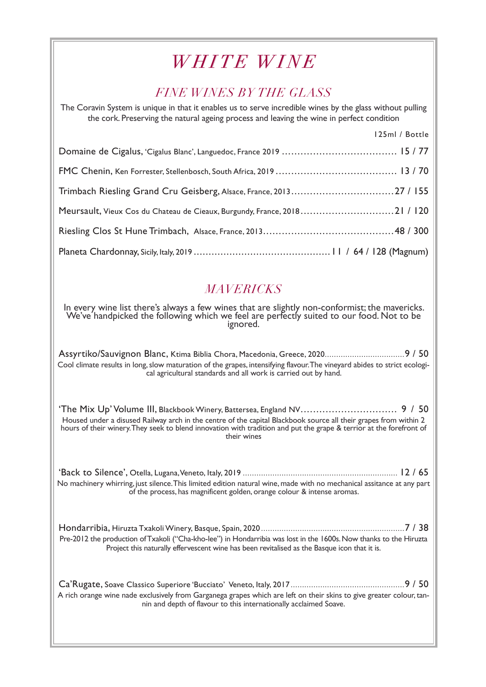### *WHITE WINE*

### *FINE WINES BY THE GLASS*

The Coravin System is unique in that it enables us to serve incredible wines by the glass without pulling the cork. Preserving the natural ageing process and leaving the wine in perfect condition 125ml / Bottle Domaine de Cigalus, 'Cigalus Blanc', Languedoc, France 2019 ..................................... 15 / 77 FMC Chenin, Ken Forrester, Stellenbosch, South Africa, 2019 ....................................... 13 / 70 Trimbach Riesling Grand Cru Geisberg, Alsace, France, 2013 ................................. 27 / 155 Meursault, Vieux Cos du Chateau de Cieaux, Burgundy, France, 2018 .............................. 21 / 120 Riesling Clos St Hune Trimbach, Alsace, France, 2013.......................................... 48 / 300 Planeta Chardonnay, Sicily, Italy, 2019 .............................................. 11 / 64 / 128 (Magnum)

### *MAVERICKS*

In every wine list there's always a few wines that are slightly non-conformist; the mavericks. We've handpicked the following which we feel are perfectly suited to our food. Not to be ignored.

Assyrtiko/Sauvignon Blanc, Ktima Biblia Chora, Macedonia, Greece, 2020...................................9 / 50 Cool climate results in long, slow maturation of the grapes, intensifying flavour. The vineyard abides to strict ecological agricultural standards and all work is carried out by hand.

'The Mix Up' Volume III, Blackbook Winery, Battersea, England NV............................... 9 / 50 Housed under a disused Railway arch in the centre of the capital Blackbook source all their grapes from within 2 hours of their winery. They seek to blend innovation with tradition and put the grape & terrior at the forefront of their wines

'Back to Silence', Otella, Lugana, Veneto, Italy, 2019 .................................................................... 12 / 65 No machinery whirring, just silence. This limited edition natural wine, made with no mechanical assitance at any part of the process, has magnificent golden, orange colour & intense aromas.

Hondarribia, Hiruzta Txakoli Winery, Basque, Spain, 2020 ...............................................................7 / 38 Pre-2012 the production of Txakoli ("Cha-kho-lee") in Hondarribia was lost in the 1600s. Now thanks to the Hiruzta Project this naturally effervescent wine has been revitalised as the Basque icon that it is.

Ca'Rugate, Soave Classico Superiore 'Bucciato' Veneto, Italy, 2017 ..................................................9 / 50 A rich orange wine nade exclusively from Garganega grapes which are left on their skins to give greater colour, tannin and depth of flavour to this internationally acclaimed Soave.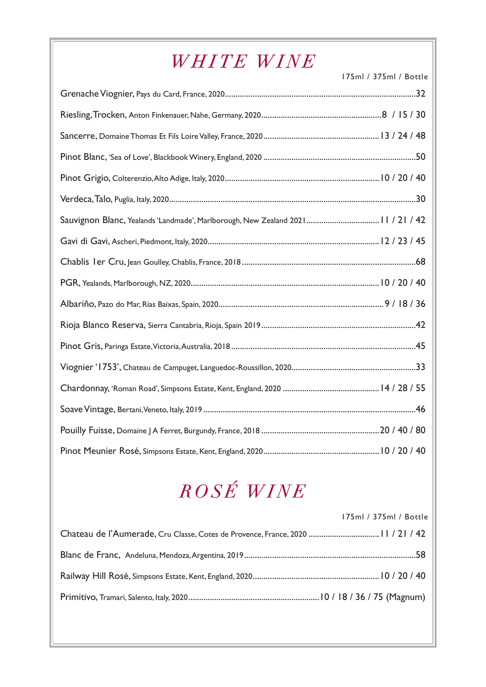# *WHITE WINE*

175ml / 375ml / Bottle

| Sauvignon Blanc, Yealands 'Landmade', Marlborough, New Zealand 2021 11/21/42 |  |
|------------------------------------------------------------------------------|--|
|                                                                              |  |
|                                                                              |  |
|                                                                              |  |
|                                                                              |  |
|                                                                              |  |
|                                                                              |  |
|                                                                              |  |
|                                                                              |  |
|                                                                              |  |
|                                                                              |  |
|                                                                              |  |

# *ROSÉ WINE*

| 175ml / 375ml / Bottle |
|------------------------|
|                        |
|                        |
|                        |
|                        |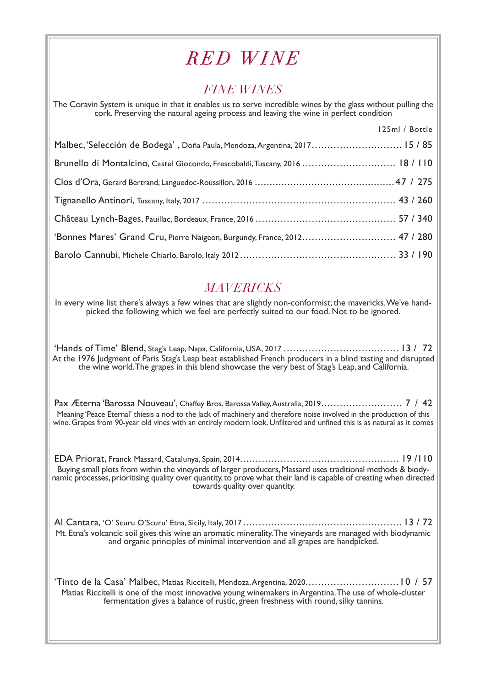### *RED WINE*

### *FINE WINES*

The Coravin System is unique in that it enables us to serve incredible wines by the glass without pulling the cork. Preserving the natural ageing process and leaving the wine in perfect condition

125 U.S. C.I.

|                                                                             | <b>Example 125 The Product of Albert Street Ave</b> |
|-----------------------------------------------------------------------------|-----------------------------------------------------|
| Malbec, 'Selección de Bodega', Doña Paula, Mendoza, Argentina, 2017 15 / 85 |                                                     |
|                                                                             |                                                     |
|                                                                             |                                                     |
|                                                                             |                                                     |
|                                                                             |                                                     |
| 'Bonnes Mares' Grand Cru, Pierre Naigeon, Burgundy, France, 2012 47 / 280   |                                                     |
|                                                                             |                                                     |

### *MAVERICKS*

In every wine list there's always a few wines that are slightly non-conformist; the mavericks. We've handpicked the following which we feel are perfectly suited to our food. Not to be ignored.

'Hands of Time' Blend, Stag's Leap, Napa, California, USA, 2017 ..................................... 13 / 72 At the 1976 Judgment of Paris Stag's Leap beat established French producers in a blind tasting and disrupted the wine world. The grapes in this blend showcase the very best of Stag's Leap, and California.

Pax Æterna 'Barossa Nouveau', Chaffey Bros, Barossa Valley, Australia, 2019 .......................... 7 / 42 Meaning 'Peace Eternal' thiesis a nod to the lack of machinery and therefore noise involved in the production of this wine. Grapes from 90-year old vines with an entirely modern look. Unfiltered and unfined this is as natural as it comes

EDA Priorat, Franck Massard, Catalunya, Spain, 2014................................................... 19 /110 Buying small plots from within the vineyards of larger producers, Massard uses traditional methods & biodynamic processes, prioritising quality over quantity, to prove what their land is capable of creating when directed t

Al Cantara, 'O' Scuru O'Scuru' Etna, Sicily, Italy, 2017 ................................................... 13 / 72 <sup>M</sup>t. Etna's volcancic soil gives this wine an aromatic minerality. The vineyards are managed with biodynamic and organic principles of minimal intervention and all grapes are handpicked.

'Tinto de la Casa' Malbec, Matias Riccitelli, Mendoza, Argentina, 2020..............................10 / 57 Matias Riccitelli is one of the most innovative young winemakers in Argentina. The use of whole-cluster fermentation gives a balance of rustic, green freshness with round, silky tannins.